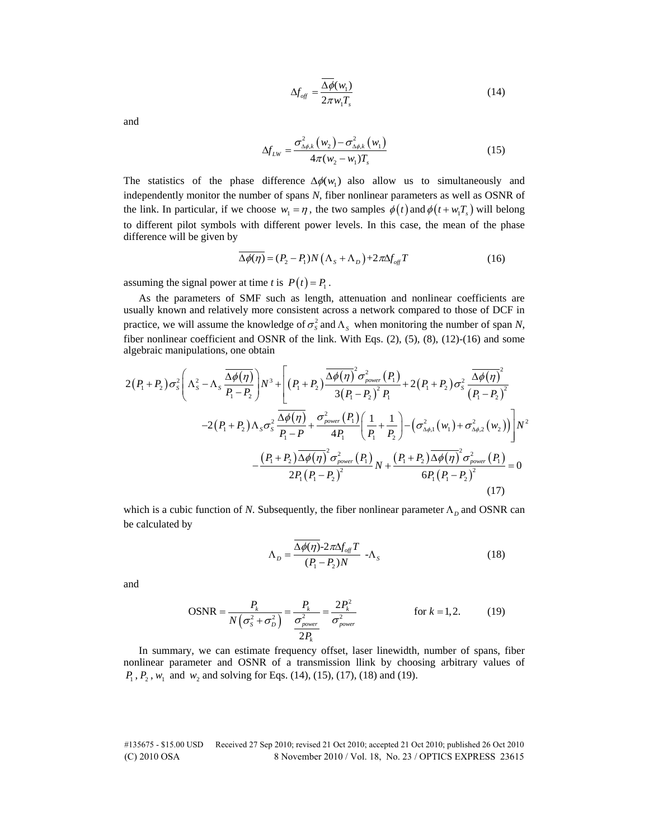$$
\Delta f_{\text{off}} = \frac{\Delta \phi(w_1)}{2\pi w_1 T_s} \tag{14}
$$

and

$$
\Delta f_{LW} = \frac{\sigma_{\Delta\phi,k}^{2}(w_{2}) - \sigma_{\Delta\phi,k}^{2}(w_{1})}{4\pi(w_{2} - w_{1})T_{s}}
$$
(15)

The statistics of the phase difference  $\Delta \phi(w_1)$  also allow us to simultaneously and independently monitor the number of spans *N*, fiber nonlinear parameters as well as OSNR of the link. In particular, if we choose  $w_1 = \eta$ , the two samples  $\phi(t)$  and  $\phi(t + w_1 T_s)$  will belong to different pilot symbols with different power levels. In this case, the mean of the phase difference will be given by

$$
\overline{\Delta\phi(\eta)} = (P_2 - P_1)N(\Lambda_s + \Lambda_D) + 2\pi\Delta f_{\text{off}}T
$$
\n(16)

assuming the signal power at time *t* is  $P(t) = P_1$ .

As the parameters of SMF such as length, attenuation and nonlinear coefficients are usually known and relatively more consistent across a network compared to those of DCF in practice, we will assume the knowledge of  $\sigma_s^2$  and  $\Lambda_s$  when monitoring the number of span *N*, fiber nonlinear coefficient and OSNR of the link. With Eqs. (2), (5), (8), (12)-(16) and some<br>algebraic manipulations, one obtain<br> $2(P_1+P_2)\sigma_s^2\left(\Lambda_s^2-\Lambda_s\frac{\overline{\Delta\phi(\eta)}}{P}\right)N^3+\left[(P_1+P_2)\frac{\overline{\Delta\phi(\eta)}^2\sigma_{power}^2(P_1)}{P_1}+2(P_1+P$ algebraic manipulations, one obtain

$$
2(P_1 + P_2) \sigma_s^2 \left( \Lambda_s^2 - \Lambda_s \frac{\overline{\Delta \phi(\eta)}}{P_1 - P_2} \right) N^3 + \left[ (P_1 + P_2) \frac{\overline{\Delta \phi(\eta)}}{3(P_1 - P_2)^2} \frac{\sigma_s^2}{P_1} + 2(P_1 + P_2) \sigma_s^2 \frac{\overline{\Delta \phi(\eta)}}{(P_1 - P_2)^2} -2(P_1 + P_2) \Lambda_s \sigma_s^2 \frac{\overline{\Delta \phi(\eta)}}{P_1 - P_1} + \frac{\sigma_s^2}{4P_1} \left( \frac{1}{P_1} + \frac{1}{P_2} \right) - (\sigma_{\Delta \phi,1}^2(w_1) + \sigma_{\Delta \phi,2}^2(w_2)) \right] N^2
$$
  
\n
$$
-\frac{(P_1 + P_2) \overline{\Delta \phi(\eta)}}{2P_1 (P_1 - P_2)^2} \frac{\sigma_s^2}{N} \frac{\sigma_s^2}{P_1 - P} + \frac{\sigma_{power}^2}{4P_1} \left( \frac{1}{P_1} + \frac{1}{P_2} \right) - (\sigma_{\Delta \phi,1}^2(w_1) + \sigma_{\Delta \phi,2}^2(w_2)) \right) N^2
$$
  
\n
$$
-\frac{(P_1 + P_2) \overline{\Delta \phi(\eta)}}{2P_1 (P_1 - P_2)^2} N + \frac{(P_1 + P_2) \overline{\Delta \phi(\eta)}}{6P_1 (P_1 - P_2)^2} \frac{\sigma_s^2}{(17)}
$$

which is a cubic function of *N*. Subsequently, the fiber nonlinear parameter  $\Lambda_D$  and OSNR can be calculated by

$$
\Lambda_D = \frac{\overline{\Delta \phi(\eta)} - 2\pi \Delta f_{\text{off}} T}{(P_1 - P_2)N} - \Lambda_S
$$
\n(18)

and

$$
\text{OSNR} = \frac{P_k}{N\left(\sigma_s^2 + \sigma_D^2\right)} = \frac{P_k}{\frac{\sigma_{power}^2}{2P_k}} = \frac{2P_k^2}{\sigma_{power}^2} \quad \text{for } k = 1, 2. \quad (19)
$$

In summary, we can estimate frequency offset, laser linewidth, number of spans, fiber nonlinear parameter and OSNR of a transmission llink by choosing arbitrary values of *P*<sub>1</sub>, *P*<sub>2</sub>, *w*<sub>1</sub> and *w*<sub>2</sub> and solving for Eqs. (14), (15), (17), (18) and (19).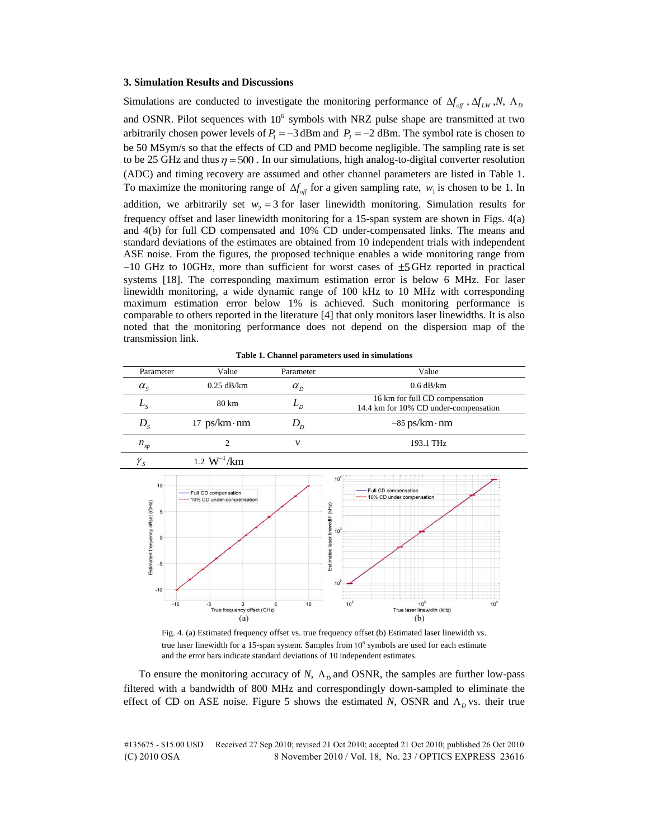## **3. Simulation Results and Discussions**

Simulations are conducted to investigate the monitoring performance of  $\Delta f_{\text{off}}$ ,  $\Delta f_{\text{LW}}$ , *N*,  $\Lambda$ <sub>*D*</sub> and OSNR. Pilot sequences with  $10^6$  symbols with NRZ pulse shape are transmitted at two arbitrarily chosen power levels of  $P_1 = -3$  dBm and  $P_2 = -2$  dBm. The symbol rate is chosen to be 50 MSym/s so that the effects of CD and PMD become negligible. The sampling rate is set to be 25 GHz and thus  $\eta = 500$ . In our simulations, high analog-to-digital converter resolution (ADC) and timing recovery are assumed and other channel parameters are listed in Table 1. To maximize the monitoring range of  $\Delta f_{\text{off}}$  for a given sampling rate,  $w_1$  is chosen to be 1. In addition, we arbitrarily set  $w_2 = 3$  for laser linewidth monitoring. Simulation results for frequency offset and laser linewidth monitoring for a 15-span system are shown in Figs. 4(a) and 4(b) for full CD compensated and 10% CD under-compensated links. The means and standard deviations of the estimates are obtained from 10 independent trials with independent ASE noise. From the figures, the proposed technique enables a wide monitoring range from  $-10$  GHz to 10GHz, more than sufficient for worst cases of  $\pm$ 5 GHz reported in practical systems [18]. The corresponding maximum estimation error is below 6 MHz. For laser linewidth monitoring, a wide dynamic range of 100 kHz to 10 MHz with corresponding maximum estimation error below 1% is achieved. Such monitoring performance is comparable to others reported in the literature [4] that only monitors laser linewidths. It is also noted that the monitoring performance does not depend on the dispersion map of the transmission link.

**Table 1. Channel parameters used in simulations** 

| Parameter        | Value                 | Parameter                  | Value                                                                   |
|------------------|-----------------------|----------------------------|-------------------------------------------------------------------------|
| $\alpha_{\rm s}$ | $0.25$ dB/km          | $\alpha_{\rm n}$           | $0.6$ dB/km                                                             |
| $L_{\rm C}$      | 80 km                 |                            | 16 km for full CD compensation<br>14.4 km for 10% CD under-compensation |
| $D_{\rm c}$      | $17$ ps/km $\cdot$ nm | $D_{\scriptscriptstyle D}$ | $-85$ ps/km $\cdot$ nm                                                  |
| $n_{_{sp}}$      |                       | ν                          | 193.1 THz                                                               |
|                  | $\mathbf{r}$          |                            |                                                                         |



Fig. 4. (a) Estimated frequency offset vs. true frequency offset (b) Estimated laser linewidth vs. true laser linewidth for a 15-span system. Samples from 10<sup>6</sup> symbols are used for each estimate and the error bars indicate standard deviations of 10 independent estimates.

To ensure the monitoring accuracy of  $N$ ,  $\Lambda$ <sub>*D*</sub> and OSNR, the samples are further low-pass filtered with a bandwidth of 800 MHz and correspondingly down-sampled to eliminate the effect of CD on ASE noise. Figure 5 shows the estimated *N*, OSNR and  $\Lambda_p$  vs. their true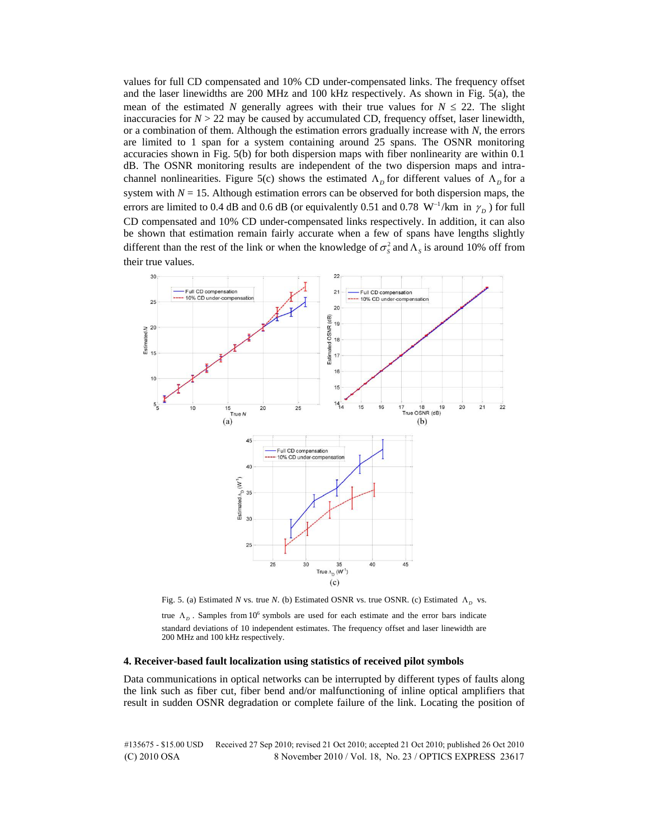values for full CD compensated and 10% CD under-compensated links. The frequency offset and the laser linewidths are 200 MHz and 100 kHz respectively. As shown in Fig. 5(a), the mean of the estimated *N* generally agrees with their true values for  $N \le 22$ . The slight inaccuracies for  $N > 22$  may be caused by accumulated CD, frequency offset, laser linewidth, or a combination of them. Although the estimation errors gradually increase with *N*, the errors are limited to 1 span for a system containing around 25 spans. The OSNR monitoring accuracies shown in Fig. 5(b) for both dispersion maps with fiber nonlinearity are within 0.1 dB. The OSNR monitoring results are independent of the two dispersion maps and intrachannel nonlinearities. Figure 5(c) shows the estimated  $\Lambda_p$  for different values of  $\Lambda_p$  for a system with  $N = 15$ . Although estimation errors can be observed for both dispersion maps, the errors are limited to 0.4 dB and 0.6 dB (or equivalently 0.51 and 0.78  $W^{-1}/km$  in  $\gamma_D$ ) for full CD compensated and 10% CD under-compensated links respectively. In addition, it can also be shown that estimation remain fairly accurate when a few of spans have lengths slightly different than the rest of the link or when the knowledge of  $\sigma_s^2$  and  $\Lambda_s$  is around 10% off from their true values.



Fig. 5. (a) Estimated *N* vs. true *N*. (b) Estimated OSNR vs. true OSNR. (c) Estimated  $\Lambda_D$  vs.

true  $\Lambda_p$ . Samples from 10<sup>6</sup> symbols are used for each estimate and the error bars indicate standard deviations of 10 independent estimates. The frequency offset and laser linewidth are 200 MHz and 100 kHz respectively.

## **4. Receiver-based fault localization using statistics of received pilot symbols**

Data communications in optical networks can be interrupted by different types of faults along the link such as fiber cut, fiber bend and/or malfunctioning of inline optical amplifiers that result in sudden OSNR degradation or complete failure of the link. Locating the position of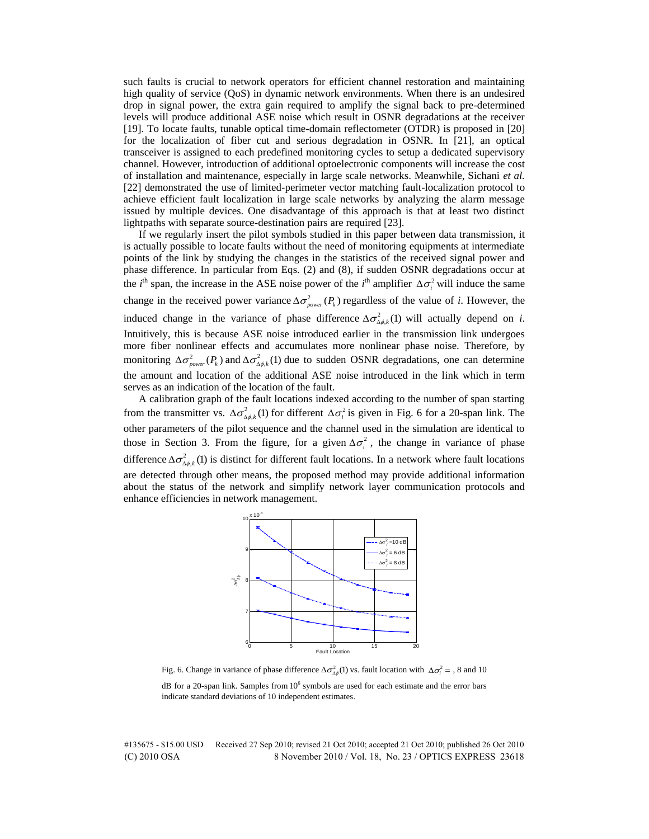such faults is crucial to network operators for efficient channel restoration and maintaining high quality of service (QoS) in dynamic network environments. When there is an undesired drop in signal power, the extra gain required to amplify the signal back to pre-determined levels will produce additional ASE noise which result in OSNR degradations at the receiver [19]. To locate faults, tunable optical time-domain reflectometer (OTDR) is proposed in [20] for the localization of fiber cut and serious degradation in OSNR. In [21], an optical transceiver is assigned to each predefined monitoring cycles to setup a dedicated supervisory channel. However, introduction of additional optoelectronic components will increase the cost of installation and maintenance, especially in large scale networks. Meanwhile, Sichani *et al.* [22] demonstrated the use of limited-perimeter vector matching fault-localization protocol to achieve efficient fault localization in large scale networks by analyzing the alarm message issued by multiple devices. One disadvantage of this approach is that at least two distinct lightpaths with separate source-destination pairs are required [23].

If we regularly insert the pilot symbols studied in this paper between data transmission, it is actually possible to locate faults without the need of monitoring equipments at intermediate points of the link by studying the changes in the statistics of the received signal power and phase difference. In particular from Eqs. (2) and (8), if sudden OSNR degradations occur at the *i*<sup>th</sup> span, the increase in the ASE noise power of the *i*<sup>th</sup> amplifier  $\Delta \sigma_i^2$  will induce the same change in the received power variance  $\Delta \sigma_{power}^2(P_k)$  regardless of the value of *i*. However, the induced change in the variance of phase difference  $\Delta \sigma_{\Delta \phi,k}^2(1)$  will actually depend on *i*. Intuitively, this is because ASE noise introduced earlier in the transmission link undergoes more fiber nonlinear effects and accumulates more nonlinear phase noise. Therefore, by monitoring  $\Delta \sigma_{power}^2(P_k)$  and  $\Delta \sigma_{\Delta \phi,k}^2(1)$  due to sudden OSNR degradations, one can determine the amount and location of the additional ASE noise introduced in the link which in term serves as an indication of the location of the fault.

A calibration graph of the fault locations indexed according to the number of span starting from the transmitter vs.  $\Delta \sigma_{\Delta \phi, k}^2$  (1) for different  $\Delta \sigma_i^2$  is given in Fig. 6 for a 20-span link. The other parameters of the pilot sequence and the channel used in the simulation are identical to those in Section 3. From the figure, for a given  $\Delta \sigma_i^2$ , the change in variance of phase difference  $\Delta \sigma_{\Delta \phi, k}^2$  (1) is distinct for different fault locations. In a network where fault locations are detected through other means, the proposed method may provide additional information about the status of the network and simplify network layer communication protocols and enhance efficiencies in network management.



Fig. 6. Change in variance of phase difference  $\Delta \sigma_{\Delta \phi}^2(1)$  vs. fault location with  $\Delta \sigma_i^2 = 0.8$  and 10

dB for a 20-span link. Samples from 10<sup>6</sup> symbols are used for each estimate and the error bars indicate standard deviations of 10 independent estimates.